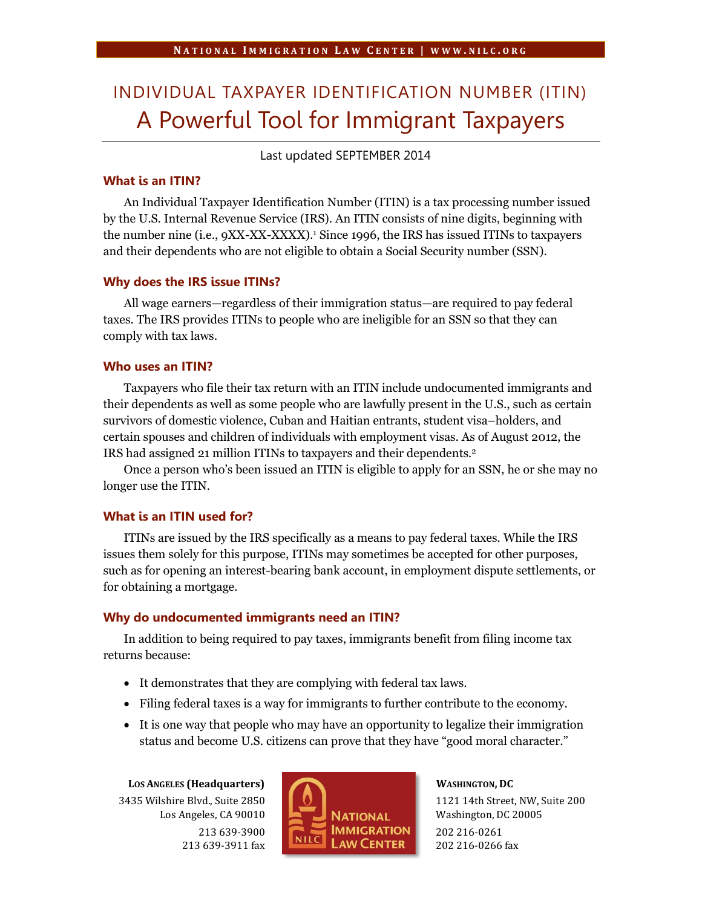# INDIVIDUAL TAXPAYER IDENTIFICATION NUMBER (ITIN) A Powerful Tool for Immigrant Taxpayers

Last updated SEPTEMBER 2014

# **What is an ITIN?**

An Individual Taxpayer Identification Number (ITIN) is a tax processing number issued by the U.S. Internal Revenue Service (IRS). An ITIN consists of nine digits, beginning with the number nine (i.e., 9XX-XX-XXXX). <sup>1</sup> Since 1996, the IRS has issued ITINs to taxpayers and their dependents who are not eligible to obtain a Social Security number (SSN).

#### **Why does the IRS issue ITINs?**

All wage earners—regardless of their immigration status—are required to pay federal taxes. The IRS provides ITINs to people who are ineligible for an SSN so that they can comply with tax laws.

# **Who uses an ITIN?**

Taxpayers who file their tax return with an ITIN include undocumented immigrants and their dependents as well as some people who are lawfully present in the U.S., such as certain survivors of domestic violence, Cuban and Haitian entrants, student visa–holders, and certain spouses and children of individuals with employment visas. As of August 2012, the IRS had assigned 21 million ITINs to taxpayers and their dependents.<sup>2</sup>

Once a person who's been issued an ITIN is eligible to apply for an SSN, he or she may no longer use the ITIN.

# **What is an ITIN used for?**

ITINs are issued by the IRS specifically as a means to pay federal taxes. While the IRS issues them solely for this purpose, ITINs may sometimes be accepted for other purposes, such as for opening an interest-bearing bank account, in employment dispute settlements, or for obtaining a mortgage.

# **Why do undocumented immigrants need an ITIN?**

In addition to being required to pay taxes, immigrants benefit from filing income tax returns because:

- It demonstrates that they are complying with federal tax laws.
- Filing federal taxes is a way for immigrants to further contribute to the economy.
- It is one way that people who may have an opportunity to legalize their immigration status and become U.S. citizens can prove that they have "good moral character."

**LOS ANGELES (Headquarters)** 3435 Wilshire Blvd., Suite 2850 Los Angeles, CA 90010 213 639-3900 213 639-3911 fax



#### **WASHINGTON, DC**

1121 14th Street, NW, Suite 200 Washington, DC 20005 202 216-0261 202 216-0266 fax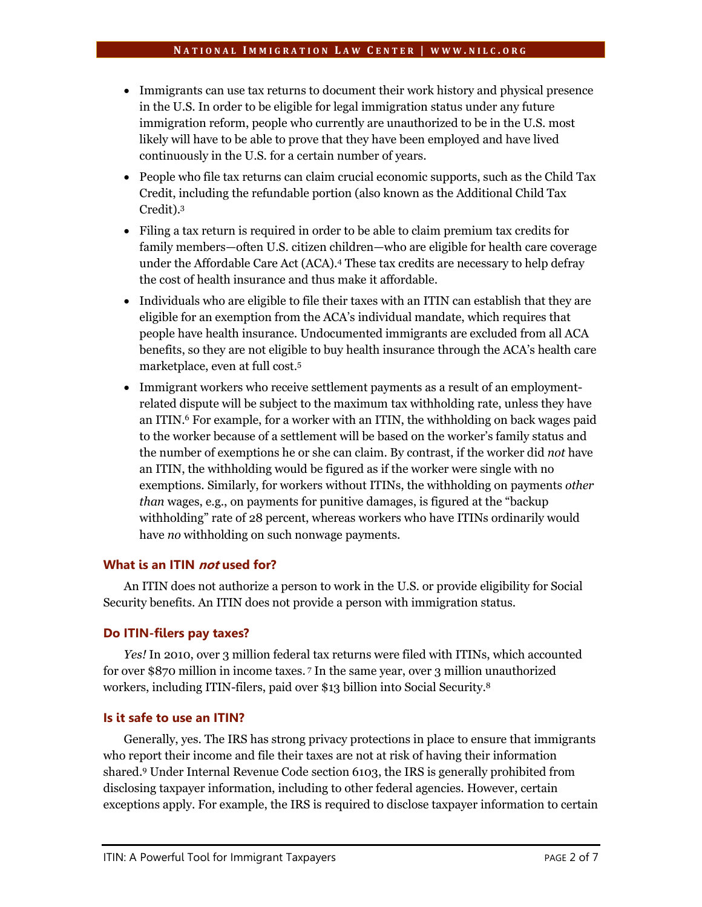- Immigrants can use tax returns to document their work history and physical presence in the U.S. In order to be eligible for legal immigration status under any future immigration reform, people who currently are unauthorized to be in the U.S. most likely will have to be able to prove that they have been employed and have lived continuously in the U.S. for a certain number of years.
- People who file tax returns can claim crucial economic supports, such as the Child Tax Credit, including the refundable portion (also known as the Additional Child Tax Credit). 3
- Filing a tax return is required in order to be able to claim premium tax credits for family members—often U.S. citizen children—who are eligible for health care coverage under the Affordable Care Act (ACA).<sup>4</sup> These tax credits are necessary to help defray the cost of health insurance and thus make it affordable.
- Individuals who are eligible to file their taxes with an ITIN can establish that they are eligible for an exemption from the ACA's individual mandate, which requires that people have health insurance. Undocumented immigrants are excluded from all ACA benefits, so they are not eligible to buy health insurance through the ACA's health care marketplace, even at full cost.<sup>5</sup>
- Immigrant workers who receive settlement payments as a result of an employmentrelated dispute will be subject to the maximum tax withholding rate, unless they have an ITIN.<sup>6</sup> For example, for a worker with an ITIN, the withholding on back wages paid to the worker because of a settlement will be based on the worker's family status and the number of exemptions he or she can claim. By contrast, if the worker did *not* have an ITIN, the withholding would be figured as if the worker were single with no exemptions. Similarly, for workers without ITINs, the withholding on payments *other than* wages, e.g., on payments for punitive damages, is figured at the "backup withholding" rate of 28 percent, whereas workers who have ITINs ordinarily would have *no* withholding on such nonwage payments.

# **What is an ITIN not used for?**

An ITIN does not authorize a person to work in the U.S. or provide eligibility for Social Security benefits. An ITIN does not provide a person with immigration status.

# **Do ITIN-filers pay taxes?**

*Yes!* In 2010, over 3 million federal tax returns were filed with ITINs, which accounted for over \$870 million in income taxes. <sup>7</sup> In the same year, over 3 million unauthorized workers, including ITIN-filers, paid over \$13 billion into Social Security.<sup>8</sup>

# **Is it safe to use an ITIN?**

Generally, yes. The IRS has strong privacy protections in place to ensure that immigrants who report their income and file their taxes are not at risk of having their information shared.<sup>9</sup> Under Internal Revenue Code section 6103, the IRS is generally prohibited from disclosing taxpayer information, including to other federal agencies. However, certain exceptions apply. For example, the IRS is required to disclose taxpayer information to certain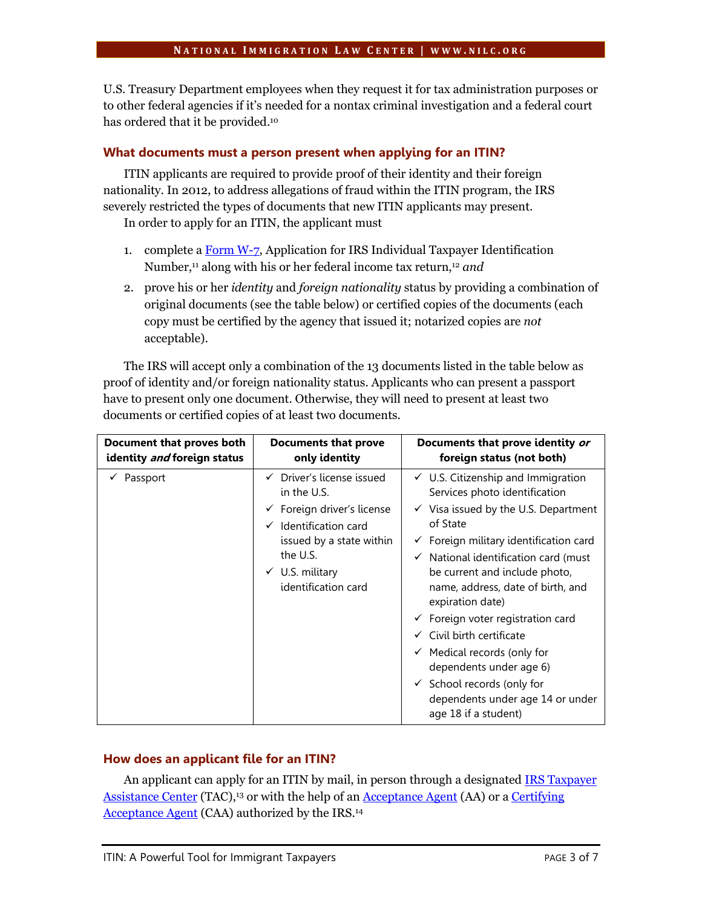U.S. Treasury Department employees when they request it for tax administration purposes or to other federal agencies if it's needed for a nontax criminal investigation and a federal court has ordered that it be provided. 10

# **What documents must a person present when applying for an ITIN?**

ITIN applicants are required to provide proof of their identity and their foreign nationality. In 2012, to address allegations of fraud within the ITIN program, the IRS severely restricted the types of documents that new ITIN applicants may present.

In order to apply for an ITIN, the applicant must

- 1. complete a [Form W-7,](http://www.irs.gov/uac/Form-W-7,-Application-for-IRS-Individual-Taxpayer-Identification-Number) Application for IRS Individual Taxpayer Identification Number, <sup>11</sup> along with his or her federal income tax return, <sup>12</sup> *and*
- 2. prove his or her *identity* and *foreign nationality* status by providing a combination of original documents (see the table below) or certified copies of the documents (each copy must be certified by the agency that issued it; notarized copies are *not* acceptable).

The IRS will accept only a combination of the 13 documents listed in the table below as proof of identity and/or foreign nationality status. Applicants who can present a passport have to present only one document. Otherwise, they will need to present at least two documents or certified copies of at least two documents.

| Document that proves both   | Documents that prove                                                                                                                                                                                                          | Documents that prove identity or                                                                                                                                                                                                                                                                                                                                                                                                                                                                                                                                                                                  |
|-----------------------------|-------------------------------------------------------------------------------------------------------------------------------------------------------------------------------------------------------------------------------|-------------------------------------------------------------------------------------------------------------------------------------------------------------------------------------------------------------------------------------------------------------------------------------------------------------------------------------------------------------------------------------------------------------------------------------------------------------------------------------------------------------------------------------------------------------------------------------------------------------------|
| identity and foreign status | only identity                                                                                                                                                                                                                 | foreign status (not both)                                                                                                                                                                                                                                                                                                                                                                                                                                                                                                                                                                                         |
| Passport                    | $\checkmark$ Driver's license issued<br>in the U.S.<br>$\checkmark$ Foreign driver's license<br>$\checkmark$ Identification card<br>issued by a state within<br>the U.S.<br>$\checkmark$ U.S. military<br>identification card | $\checkmark$ U.S. Citizenship and Immigration<br>Services photo identification<br>$\checkmark$ Visa issued by the U.S. Department<br>of State<br>$\checkmark$ Foreign military identification card<br>$\checkmark$ National identification card (must<br>be current and include photo,<br>name, address, date of birth, and<br>expiration date)<br>$\checkmark$ Foreign voter registration card<br>$\checkmark$ Civil birth certificate<br>$\checkmark$ Medical records (only for<br>dependents under age 6)<br>$\checkmark$ School records (only for<br>dependents under age 14 or under<br>age 18 if a student) |

# **How does an applicant file for an ITIN?**

An applicant can apply for an ITIN by mail, in person through a designate[d IRS Taxpayer](http://www.irs.gov/uac/Contact-Your-Local-IRS-Office-1)  [Assistance Center](http://www.irs.gov/uac/Contact-Your-Local-IRS-Office-1) (TAC),<sup>13</sup> or with the help of a[n Acceptance Agent](http://www.irs.gov/Individuals/Acceptance-Agent-Program) (AA) or a [Certifying](http://www.irs.gov/Individuals/Acceptance-Agent-Program)  [Acceptance Agent](http://www.irs.gov/Individuals/Acceptance-Agent-Program) (CAA) authorized by the IRS.<sup>14</sup>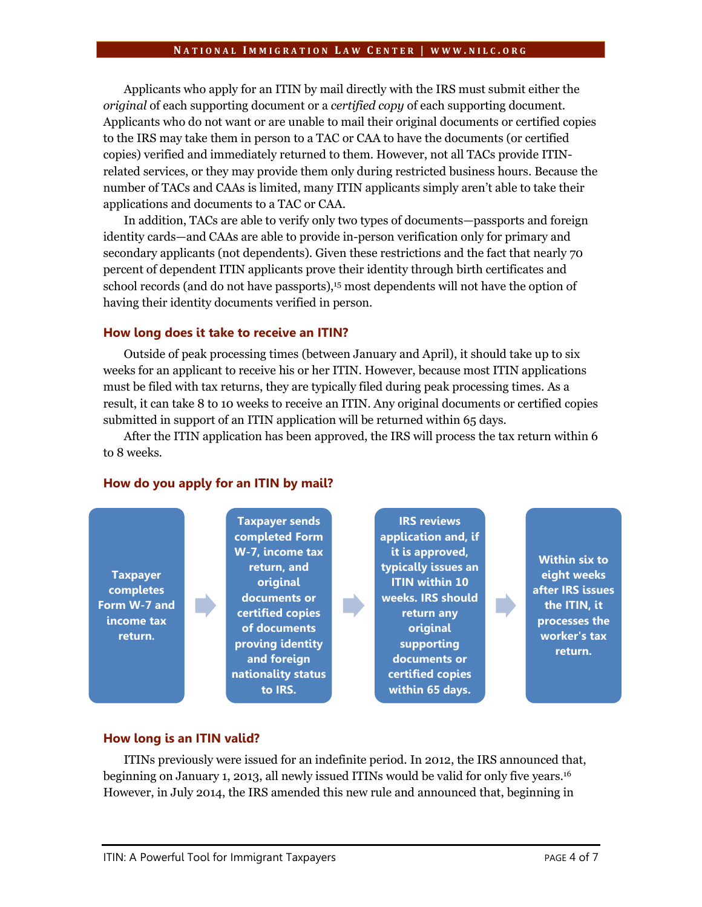# **N A T I O N A L I M M I G R A T I O N L A W C E N T E R | W W W . N I L C . O R G**

Applicants who apply for an ITIN by mail directly with the IRS must submit either the *original* of each supporting document or a *certified copy* of each supporting document. Applicants who do not want or are unable to mail their original documents or certified copies to the IRS may take them in person to a TAC or CAA to have the documents (or certified copies) verified and immediately returned to them. However, not all TACs provide ITINrelated services, or they may provide them only during restricted business hours. Because the number of TACs and CAAs is limited, many ITIN applicants simply aren't able to take their applications and documents to a TAC or CAA.

In addition, TACs are able to verify only two types of documents—passports and foreign identity cards—and CAAs are able to provide in-person verification only for primary and secondary applicants (not dependents). Given these restrictions and the fact that nearly 70 percent of dependent ITIN applicants prove their identity through birth certificates and school records (and do not have passports),<sup>15</sup> most dependents will not have the option of having their identity documents verified in person.

# **How long does it take to receive an ITIN?**

Outside of peak processing times (between January and April), it should take up to six weeks for an applicant to receive his or her ITIN. However, because most ITIN applications must be filed with tax returns, they are typically filed during peak processing times. As a result, it can take 8 to 10 weeks to receive an ITIN. Any original documents or certified copies submitted in support of an ITIN application will be returned within 65 days.

After the ITIN application has been approved, the IRS will process the tax return within 6 to 8 weeks.

#### **How do you apply for an ITIN by mail?**



# **How long is an ITIN valid?**

ITINs previously were issued for an indefinite period. In 2012, the IRS announced that, beginning on January 1, 2013, all newly issued ITINs would be valid for only five years. 16 However, in July 2014, the IRS amended this new rule and announced that, beginning in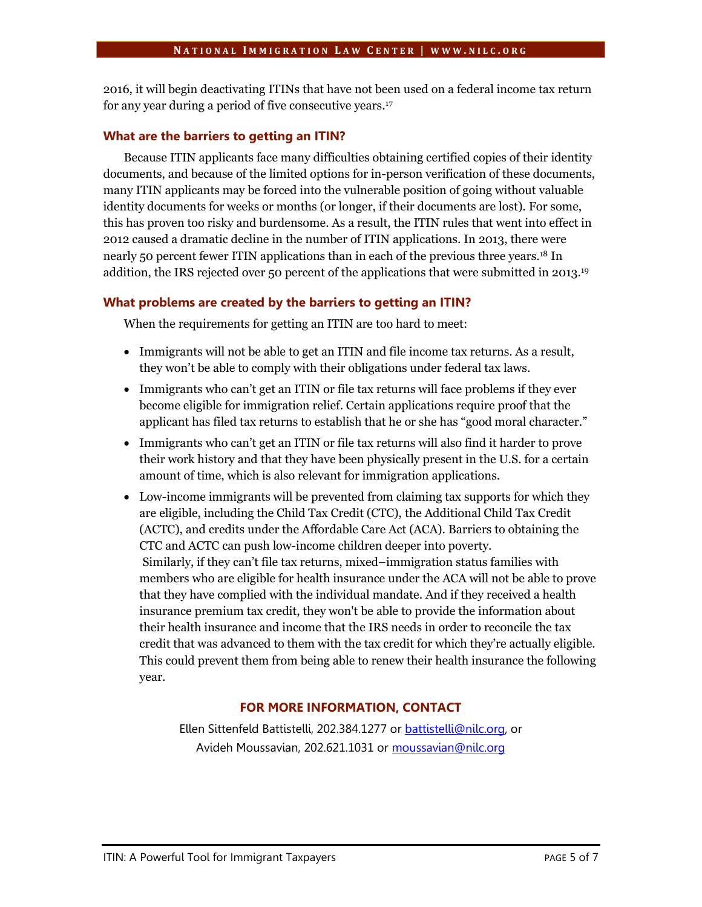2016, it will begin deactivating ITINs that have not been used on a federal income tax return for any year during a period of five consecutive years.<sup>17</sup>

# **What are the barriers to getting an ITIN?**

Because ITIN applicants face many difficulties obtaining certified copies of their identity documents, and because of the limited options for in-person verification of these documents, many ITIN applicants may be forced into the vulnerable position of going without valuable identity documents for weeks or months (or longer, if their documents are lost). For some, this has proven too risky and burdensome. As a result, the ITIN rules that went into effect in 2012 caused a dramatic decline in the number of ITIN applications. In 2013, there were nearly 50 percent fewer ITIN applications than in each of the previous three years.<sup>18</sup> In addition, the IRS rejected over 50 percent of the applications that were submitted in 2013. 19

# **What problems are created by the barriers to getting an ITIN?**

When the requirements for getting an ITIN are too hard to meet:

- Immigrants will not be able to get an ITIN and file income tax returns. As a result, they won't be able to comply with their obligations under federal tax laws.
- Immigrants who can't get an ITIN or file tax returns will face problems if they ever become eligible for immigration relief. Certain applications require proof that the applicant has filed tax returns to establish that he or she has "good moral character."
- Immigrants who can't get an ITIN or file tax returns will also find it harder to prove their work history and that they have been physically present in the U.S. for a certain amount of time, which is also relevant for immigration applications.
- Low-income immigrants will be prevented from claiming tax supports for which they are eligible, including the Child Tax Credit (CTC), the Additional Child Tax Credit (ACTC), and credits under the Affordable Care Act (ACA). Barriers to obtaining the CTC and ACTC can push low-income children deeper into poverty. Similarly, if they can't file tax returns, mixed–immigration status families with members who are eligible for health insurance under the ACA will not be able to prove that they have complied with the individual mandate. And if they received a health insurance premium tax credit, they won't be able to provide the information about their health insurance and income that the IRS needs in order to reconcile the tax credit that was advanced to them with the tax credit for which they're actually eligible. This could prevent them from being able to renew their health insurance the following year.

# **FOR MORE INFORMATION, CONTACT**

Ellen Sittenfeld Battistelli, 202.384.1277 or [battistelli@nilc.org,](mailto:battistelli@nilc.org) or Avideh Moussavian, 202.621.1031 or [moussavian@nilc.org](mailto:moussavian@nilc.org)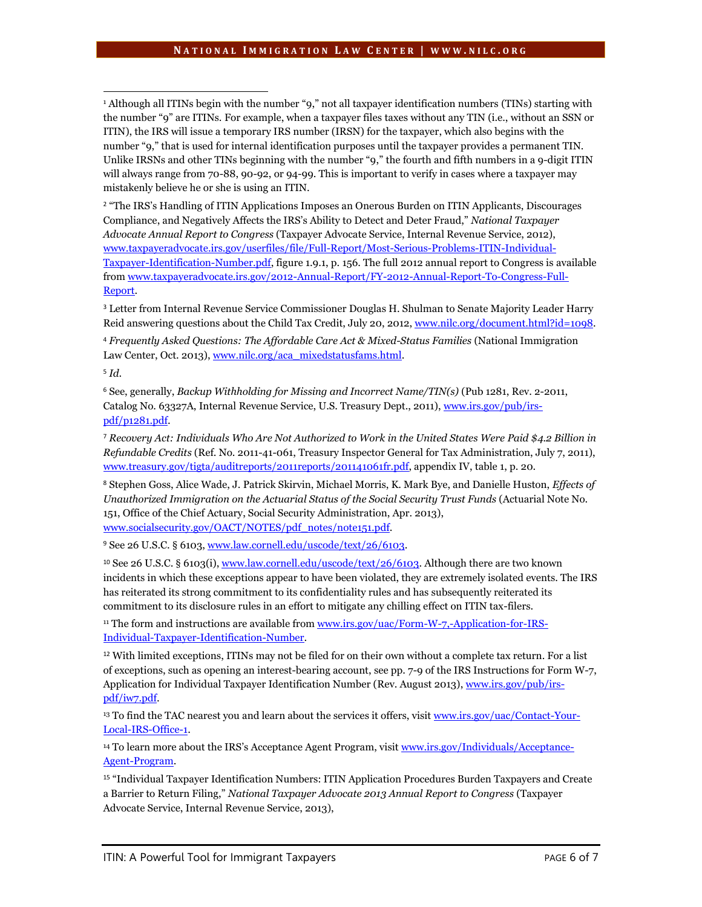<sup>1</sup> Although all ITINs begin with the number "9," not all taxpayer identification numbers (TINs) starting with the number "9" are ITINs. For example, when a taxpayer files taxes without any TIN (i.e., without an SSN or ITIN), the IRS will issue a temporary IRS number (IRSN) for the taxpayer, which also begins with the number "9," that is used for internal identification purposes until the taxpayer provides a permanent TIN. Unlike IRSNs and other TINs beginning with the number "9," the fourth and fifth numbers in a 9-digit ITIN will always range from 70-88, 90-92, or 94-99. This is important to verify in cases where a taxpayer may mistakenly believe he or she is using an ITIN.

<sup>2</sup> "The IRS's Handling of ITIN Applications Imposes an Onerous Burden on ITIN Applicants, Discourages Compliance, and Negatively Affects the IRS's Ability to Detect and Deter Fraud," *National Taxpayer Advocate Annual Report to Congress* (Taxpayer Advocate Service, Internal Revenue Service, 2012), [www.taxpayeradvocate.irs.gov/userfiles/file/Full-Report/Most-Serious-Problems-ITIN-Individual-](http://www.taxpayeradvocate.irs.gov/userfiles/file/Full-Report/Most-Serious-Problems-ITIN-Individual-Taxpayer-Identification-Number.pdf)[Taxpayer-Identification-Number.pdf,](http://www.taxpayeradvocate.irs.gov/userfiles/file/Full-Report/Most-Serious-Problems-ITIN-Individual-Taxpayer-Identification-Number.pdf) figure 1.9.1, p. 156. The full 2012 annual report to Congress is available fro[m www.taxpayeradvocate.irs.gov/2012-Annual-Report/FY-2012-Annual-Report-To-Congress-Full-](http://www.taxpayeradvocate.irs.gov/2012-Annual-Report/FY-2012-Annual-Report-To-Congress-Full-Report)[Report.](http://www.taxpayeradvocate.irs.gov/2012-Annual-Report/FY-2012-Annual-Report-To-Congress-Full-Report) 

<sup>3</sup> Letter from Internal Revenue Service Commissioner Douglas H. Shulman to Senate Majority Leader Harry Reid answering questions about the Child Tax Credit, July 20, 2012, www.nilc.org/document.html?id=1098.

<sup>4</sup> *Frequently Asked Questions: The Affordable Care Act & Mixed-Status Families* (National Immigration Law Center, Oct. 2013), [www.nilc.org/aca\\_mixedstatusfams.html.](http://www.nilc.org/aca_mixedstatusfams.html)

<sup>5</sup> *Id*.

 $\overline{\phantom{a}}$ 

<sup>6</sup> See, generally, *Backup Withholding for Missing and Incorrect Name/TIN(s)* (Pub 1281, Rev. 2-2011, Catalog No. 63327A, Internal Revenue Service, U.S. Treasury Dept., 2011), [www.irs.gov/pub/irs](http://www.irs.gov/pub/irs-pdf/p1281.pdf)[pdf/p1281.pdf.](http://www.irs.gov/pub/irs-pdf/p1281.pdf)

<sup>7</sup> *Recovery Act: Individuals Who Are Not Authorized to Work in the United States Were Paid \$4.2 Billion in Refundable Credits* (Ref. No. 2011-41-061, Treasury Inspector General for Tax Administration, July 7, 2011), [www.treasury.gov/tigta/auditreports/2011reports/201141061fr.pdf,](http://www.treasury.gov/tigta/auditreports/2011reports/201141061fr.pdf) appendix IV, table 1, p. 20.

<sup>8</sup> Stephen Goss, Alice Wade, J. Patrick Skirvin, Michael Morris, K. Mark Bye, and Danielle Huston, *Effects of Unauthorized Immigration on the Actuarial Status of the Social Security Trust Funds* (Actuarial Note No. 151, Office of the Chief Actuary, Social Security Administration, Apr. 2013), [www.socialsecurity.gov/OACT/NOTES/pdf\\_notes/note151.pdf.](http://www.socialsecurity.gov/OACT/NOTES/pdf_notes/note151.pdf)

<sup>9</sup> See 26 U.S.C. § 6103, www.law.cornell.edu/uscode/text/26/6103.

<sup>10</sup> See 26 U.S.C. § 6103(i)[, www.law.cornell.edu/uscode/text/26/6103.](http://www.law.cornell.edu/uscode/text/26/6103) Although there are two known incidents in which these exceptions appear to have been violated, they are extremely isolated events. The IRS has reiterated its strong commitment to its confidentiality rules and has subsequently reiterated its commitment to its disclosure rules in an effort to mitigate any chilling effect on ITIN tax-filers.

<sup>11</sup> The form and instructions are available from [www.irs.gov/uac/Form-W-7,-Application-for-IRS-](http://www.irs.gov/uac/Form-W-7,-Application-for-IRS-Individual-Taxpayer-Identification-Number)[Individual-Taxpayer-Identification-Number.](http://www.irs.gov/uac/Form-W-7,-Application-for-IRS-Individual-Taxpayer-Identification-Number) 

<sup>12</sup> With limited exceptions, ITINs may not be filed for on their own without a complete tax return. For a list of exceptions, such as opening an interest-bearing account, see pp. 7-9 of the IRS Instructions for Form W-7, Application for Individual Taxpayer Identification Number (Rev. August 2013)[, www.irs.gov/pub/irs](http://www.irs.gov/pub/irs-pdf/iw7.pdf)[pdf/iw7.pdf.](http://www.irs.gov/pub/irs-pdf/iw7.pdf)

<sup>13</sup> To find the TAC nearest you and learn about the services it offers, visi[t www.irs.gov/uac/Contact-Your-](http://www.irs.gov/uac/Contact-Your-Local-IRS-Office-1)[Local-IRS-Office-1.](http://www.irs.gov/uac/Contact-Your-Local-IRS-Office-1)

<sup>14</sup> To learn more about the IRS's Acceptance Agent Program, visit [www.irs.gov/Individuals/Acceptance-](http://www.irs.gov/Individuals/Acceptance-Agent-Program)[Agent-Program.](http://www.irs.gov/Individuals/Acceptance-Agent-Program) 

<sup>15</sup> "Individual Taxpayer Identification Numbers: ITIN Application Procedures Burden Taxpayers and Create a Barrier to Return Filing," *National Taxpayer Advocate 2013 Annual Report to Congress* (Taxpayer Advocate Service, Internal Revenue Service, 2013),